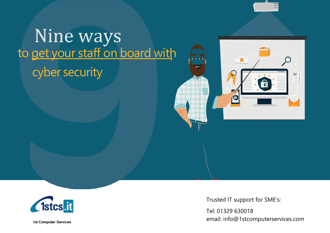

## Nine ways to get your staff on board with cyber security





Trusted IT support for SME's:

Tel: 01329 630018 email: info@1stcomputerservices.com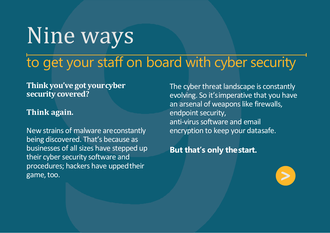# Nine ways

### to get your staff on board with cyber security

**Think you've got yourcyber security covered?**

#### **Think again.**

New strains of malware areconstantly being discovered. That's because as businesses of all sizes have stepped up their cyber security software and procedures; hackers have uppedtheir game, too.

The cyber threat landscape is constantly evolving. So it'simperative that you have an arsenal of weapons like firewalls, endpoint security, anti-virus software and email encryption to keep your datasafe.

**But that's only thestart.**

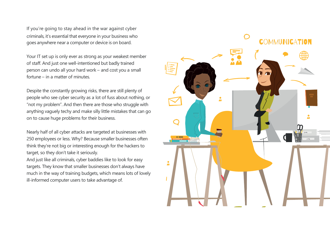If you're going to stay ahead in the war against cyber criminals, it's essential that everyone in your business who goes anywhere near a computer or device is on board.

Your IT set up is only ever as strong as your weakest member of staff. And just one well-intentioned but badly trained person can undo all your hard work – and cost you a small fortune – in a matter of minutes.

Despite the constantly growing risks, there are still plenty of people who see cyber security as a lot of fuss about nothing, or "not my problem". And then there are those who struggle with anything vaguely techy and make silly little mistakes that can go on to cause huge problems for their business.

Nearly half of all cyber attacks are targeted at businesses with 250 employees or less. Why? Because smaller businesses often think they're not big or interesting enough for the hackers to target, so they don't take it seriously.

And just like all criminals, cyber baddies like to look for easy targets. They know that smaller businesses don't always have much in the way of training budgets, which means lots of lovely ill-informed computer users to take advantage of.

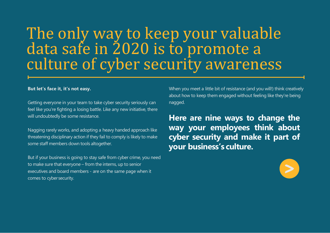#### The only way to keep your valuable data safe in 2020 is to promote a culture of cyber security awareness

#### **But let's face it, it's not easy.**

Getting everyone in your team to take cyber security seriously can feel like you're fighting a losing battle. Like any new initiative, there will undoubtedly be some resistance.

Nagging rarely works, and adopting a heavy handed approach like threatening disciplinary action if they fail to comply is likely to make some staff members down tools altogether.

But if your business is going to stay safe from cyber crime, you need to make sure that everyone – from the interns, up to senior executives and board members - are on the same page when it comes to cyber security.

When you meet a little bit of resistance (and you will!) think creatively about how to keep them engaged without feeling like they're being nagged.

**Here are nine ways to change the way your employees think about cyber security and make it part of your business's culture.**

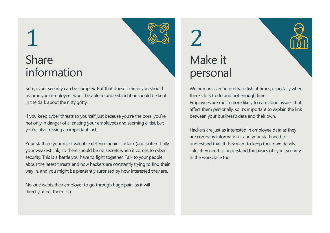# 1 Share information

Sure, cyber security can be complex. But that doesn't mean you should assume your employees won't be able to understand it or should be kept in the dark about the nitty gritty.

If you keep cyber threats to yourself just because you're the boss, you're not only in danger of alienating your employees and seeming elitist, but you're also missing an important fact.

Your staff are your most valuable defence against attack (and poten- tially your weakest link) so there should be no secrets when it comes to cyber security. This is a battle you have to fight together. Talk to your people about the latest threats and how hackers are constantly trying to find their way in, and you might be pleasantly surprised by how interested they are.

No-one wants their employer to go through huge pain, as it will directly affect them too.

2 Make it personal

We humans can be pretty selfish at times, especially when there's lots to do and not enough time. Employees are much more likely to care about issues that affect them personally, so it's important to explain the link between your business's data and their own.

Hackers are just as interested in employee data as they are company information - and your staff need to understand that. If they want to keep their own details safe, they need to understand the basics of cyber security in the workplace too.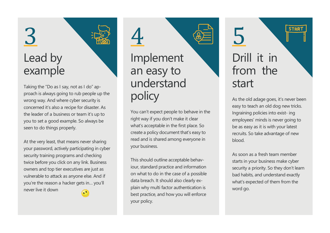### 3 Lead by example

Taking the "Do as I say, not as I do" approach is always going to rub people up the wrong way. And where cyber security is concerned it's also a recipe for disaster. As the leader of a business or team it's up to you to set a good example. So always be seen to do things properly.

At the very least, that means never sharing your password, actively participating in cyber security training programs and checking twice before you click on any link. Business owners and top tier executives are just as vulnerable to attack as anyone else. And if you're the reason a hacker gets in… you'll never live it downGN,

4 Implement an easy to understand policy

You can't expect people to behave in the right way if you don't make it clear what's acceptable in the first place. So create a policy document that's easy to read and is shared among everyone in your business.

This should outline acceptable behaviour, standard practice and information on what to do in the case of a possible data breach. It should also clearly explain why multi factor authentication is best practice, and how you will enforce your policy.

#### 5 Drill it in from the start

**STAR** 

As the old adage goes, it's never been easy to teach an old dog new tricks. Ingraining policies into exist- ing employees' minds is never going to be as easy as it is with your latest recruits. So take advantage of new blood.

As soon as a fresh team member starts in your business make cyber security a priority. So they don't learn bad habits, and understand exactly what's expected of them from the word go.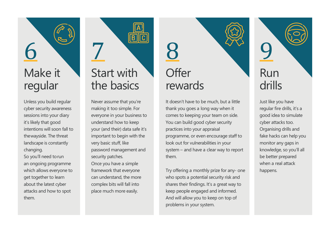# 6 Make it regular

Unless you build regular cyber security awareness sessions into your diary it's likely that good intentions will soon fall to thewayside. The threat landscape is constantly changing. So you'll need torun an ongoing programme which allows everyone to get together to learn about the latest cyber attacks and how to spot them.

## 7 Start with the basics

Never assume that you're making it too simple. For everyone in your business to understand how to keep your (and their) data safe it's important to begin with the very basic stuff, like password management and security patches. Once you have a simple framework that everyone can understand, the more complex bits will fall into place much more easily.

## 8 **Offer** rewards

It doesn't have to be much, but a little thank you goes a long way when it comes to keeping your team on side. You can build good cyber security practices into your appraisal programme, or even encourage staff to look out for vulnerabilities in your system – and have a clear way to report them.

Try offering a monthly prize for any- one who spots a potential security risk and shares their findings. It's a great way to keep people engaged and informed. And will allow you to keep on top of problems in your system.

# 9 Run drills

Just like you have regular fire drills, it's a good idea to simulate cyber attacks too. Organising drills and fake hacks can help you monitor any gaps in knowledge, so you'll all be better prepared when a real attack happens.